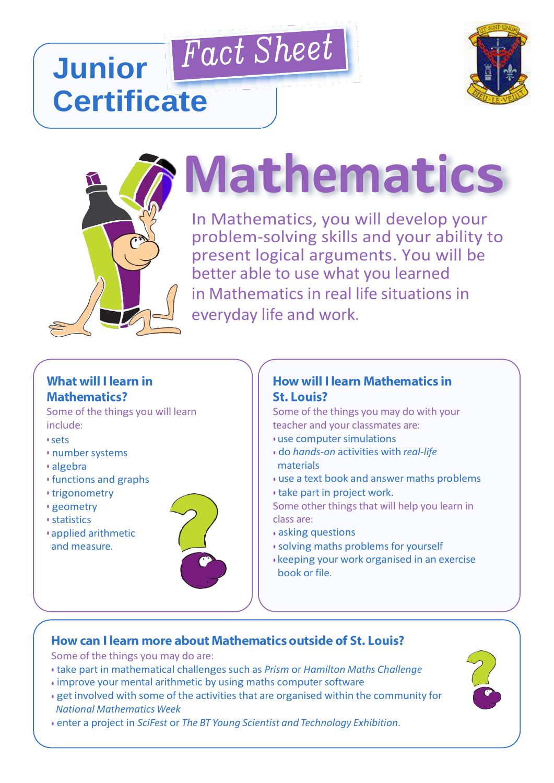## Fact Sheet **Junior Certificate**





# **Mathematics**

In Mathematics, you will develop your In Mathematics, you will develop your problem-solving skills and your ability problem-solving skills and your ability to present logical arguments. You will be better able to use what you learned in Mathematics in real life situations in everyday life and work.

#### **What will I learn in Mathematics?**

Some of the things you will learn include:

• sets

- number systems
- algebra
- functions and graphs
- trigonometry
- geometry
- statistics
- applied arithmetic and measure.



#### **How will I learn Mathematics in St. Louis?**

Some of the things you may do with your teacher and your classmates are:

- use computer simulations
- do *hands-on* activities with *real-life* materials
- use a text book and answer maths problems
- take part in project work.
- Some other things that will help you learn in class are:
- asking questions
- solving maths problems for yourself
- keeping your work organised in an exercise book or file.

### How can I learn more about Mathematics outside of St. Louis?

Some of the things you may do are:

- take part in mathematical challenges such as *Prism* or *Hamilton Maths Challenge*
- improve your mental arithmetic by using maths computer software
- get involved with some of the activities that are organised within the community for *National Mathematics Week*
- enter a project in *SciFest* or *The BT Young Scientist and Technology Exhibition*.